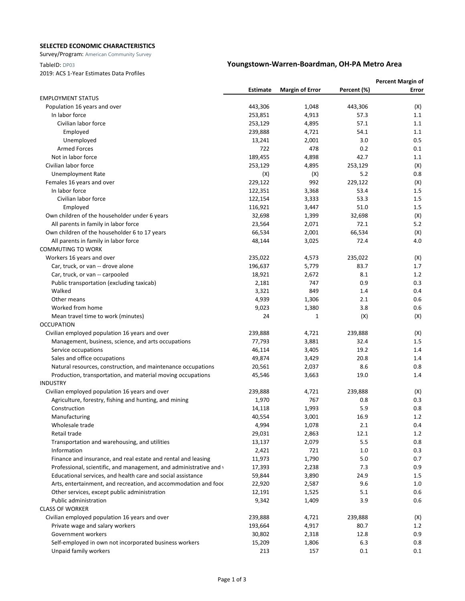### **SELECTED ECONOMIC CHARACTERISTICS**

Survey/Program: American Community Survey

2019: ACS 1-Year Estimates Data Profiles

# TableID: DP03 **Youngstown-Warren-Boardman, OH-PA Metro Area**

|                                                                    |          |                        |             | <b>Percent Margin of</b> |  |
|--------------------------------------------------------------------|----------|------------------------|-------------|--------------------------|--|
|                                                                    | Estimate | <b>Margin of Error</b> | Percent (%) | Error                    |  |
| <b>EMPLOYMENT STATUS</b>                                           |          |                        |             |                          |  |
| Population 16 years and over                                       | 443,306  | 1,048                  | 443,306     | (X)                      |  |
| In labor force                                                     | 253,851  | 4,913                  | 57.3        | 1.1                      |  |
| Civilian labor force                                               | 253,129  | 4,895                  | 57.1        | 1.1                      |  |
| Employed                                                           | 239,888  | 4,721                  | 54.1        | 1.1                      |  |
| Unemployed                                                         | 13,241   | 2,001                  | 3.0         | 0.5                      |  |
| <b>Armed Forces</b>                                                | 722      | 478                    | 0.2         | 0.1                      |  |
| Not in labor force                                                 | 189,455  | 4,898                  | 42.7        | 1.1                      |  |
| Civilian labor force                                               | 253,129  | 4,895                  | 253,129     | (X)                      |  |
| <b>Unemployment Rate</b>                                           | (X)      | (X)                    | 5.2         | 0.8                      |  |
| Females 16 years and over                                          | 229,122  | 992                    | 229,122     | (X)                      |  |
| In labor force                                                     | 122,351  | 3,368                  | 53.4        | $1.5\,$                  |  |
| Civilian labor force                                               | 122,154  | 3,333                  | 53.3        | 1.5                      |  |
| Employed                                                           | 116,921  | 3,447                  | 51.0        | 1.5                      |  |
| Own children of the householder under 6 years                      | 32,698   | 1,399                  | 32,698      | (X)                      |  |
| All parents in family in labor force                               | 23,564   | 2,071                  | 72.1        | 5.2                      |  |
| Own children of the householder 6 to 17 years                      | 66,534   | 2,001                  | 66,534      | (X)                      |  |
| All parents in family in labor force                               | 48,144   | 3,025                  | 72.4        | 4.0                      |  |
| <b>COMMUTING TO WORK</b>                                           |          |                        |             |                          |  |
| Workers 16 years and over                                          | 235,022  | 4,573                  | 235,022     | (X)                      |  |
| Car, truck, or van -- drove alone                                  | 196,637  | 5,779                  | 83.7        | 1.7                      |  |
| Car, truck, or van -- carpooled                                    | 18,921   | 2,672                  | 8.1         | 1.2                      |  |
| Public transportation (excluding taxicab)                          | 2,181    | 747                    | 0.9         | 0.3                      |  |
| Walked                                                             | 3,321    | 849                    | 1.4         | 0.4                      |  |
| Other means                                                        | 4,939    | 1,306                  | 2.1         | 0.6                      |  |
| Worked from home                                                   | 9,023    | 1,380                  | 3.8         | 0.6                      |  |
| Mean travel time to work (minutes)                                 | 24       | 1                      | (X)         | (X)                      |  |
| <b>OCCUPATION</b>                                                  |          |                        |             |                          |  |
| Civilian employed population 16 years and over                     | 239,888  | 4,721                  | 239,888     | (X)                      |  |
| Management, business, science, and arts occupations                | 77,793   | 3,881                  | 32.4        | 1.5                      |  |
| Service occupations                                                | 46,114   | 3,405                  | 19.2        | 1.4                      |  |
| Sales and office occupations                                       | 49,874   | 3,429                  | 20.8        | 1.4                      |  |
| Natural resources, construction, and maintenance occupations       | 20,561   | 2,037                  | 8.6         | 0.8                      |  |
| Production, transportation, and material moving occupations        | 45,546   | 3,663                  | 19.0        | 1.4                      |  |
| <b>INDUSTRY</b>                                                    |          |                        |             |                          |  |
| Civilian employed population 16 years and over                     | 239,888  | 4,721                  | 239,888     | (X)                      |  |
| Agriculture, forestry, fishing and hunting, and mining             | 1,970    | 767                    | 0.8         | 0.3                      |  |
| Construction                                                       | 14,118   | 1,993                  | 5.9         | 0.8                      |  |
| Manufacturing                                                      | 40,554   | 3,001                  | 16.9        | 1.2                      |  |
| Wholesale trade                                                    | 4,994    | 1,078                  | 2.1         | 0.4                      |  |
| Retail trade                                                       | 29,031   | 2,863                  | 12.1        | 1.2                      |  |
| Transportation and warehousing, and utilities                      | 13,137   | 2,079                  | 5.5         | 0.8                      |  |
| Information                                                        | 2,421    | 721                    | 1.0         | 0.3                      |  |
| Finance and insurance, and real estate and rental and leasing      | 11,973   | 1,790                  | 5.0         | 0.7                      |  |
| Professional, scientific, and management, and administrative and v | 17,393   | 2,238                  | 7.3         | 0.9                      |  |
| Educational services, and health care and social assistance        | 59,844   | 3,890                  | 24.9        | 1.5                      |  |
| Arts, entertainment, and recreation, and accommodation and foor    | 22,920   | 2,587                  | 9.6         | 1.0                      |  |
| Other services, except public administration                       | 12,191   | 1,525                  | 5.1         | 0.6                      |  |
| Public administration                                              | 9,342    | 1,409                  | 3.9         | 0.6                      |  |
| <b>CLASS OF WORKER</b>                                             |          |                        |             |                          |  |
| Civilian employed population 16 years and over                     | 239,888  | 4,721                  | 239,888     | (X)                      |  |
| Private wage and salary workers                                    | 193,664  | 4,917                  | 80.7        | 1.2                      |  |
| Government workers                                                 | 30,802   | 2,318                  | 12.8        | 0.9                      |  |
| Self-employed in own not incorporated business workers             | 15,209   | 1,806                  | 6.3         | 0.8                      |  |
| Unpaid family workers                                              | 213      | 157                    | 0.1         | 0.1                      |  |
|                                                                    |          |                        |             |                          |  |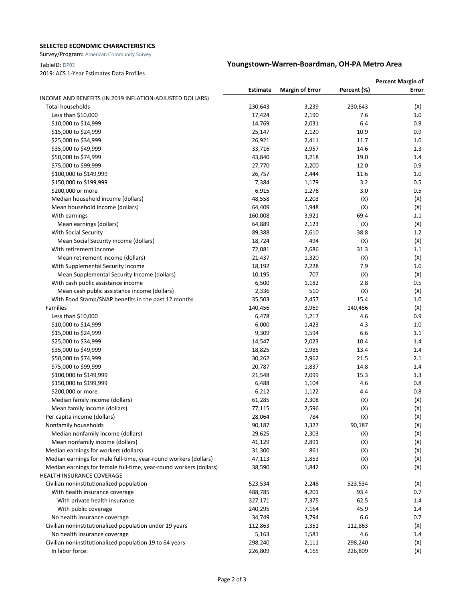### **SELECTED ECONOMIC CHARACTERISTICS**

Survey/Program: American Community Survey

2019: ACS 1-Year Estimates Data Profiles

## TableID: DP03 **Youngstown-Warren-Boardman, OH-PA Metro Area**

|                                                                    |          |                        |             | <b>Percent Margin of</b> |
|--------------------------------------------------------------------|----------|------------------------|-------------|--------------------------|
|                                                                    | Estimate | <b>Margin of Error</b> | Percent (%) | Error                    |
| INCOME AND BENEFITS (IN 2019 INFLATION-ADJUSTED DOLLARS)           |          |                        |             |                          |
| <b>Total households</b>                                            | 230,643  | 3,239                  | 230,643     | (X)                      |
| Less than \$10,000                                                 | 17,424   | 2,190                  | 7.6         | 1.0                      |
| \$10,000 to \$14,999                                               | 14,769   | 2,031                  | 6.4         | 0.9                      |
| \$15,000 to \$24,999                                               | 25,147   | 2,120                  | 10.9        | 0.9                      |
| \$25,000 to \$34,999                                               | 26,921   | 2,411                  | 11.7        | 1.0                      |
| \$35,000 to \$49,999                                               | 33,716   | 2,957                  | 14.6        | 1.3                      |
| \$50,000 to \$74,999                                               | 43,840   | 3,218                  | 19.0        | 1.4                      |
| \$75,000 to \$99,999                                               | 27,770   | 2,200                  | 12.0        | 0.9                      |
| \$100,000 to \$149,999                                             | 26,757   | 2,444                  | 11.6        | 1.0                      |
| \$150,000 to \$199,999                                             | 7,384    | 1,179                  | 3.2         | 0.5                      |
| \$200,000 or more                                                  | 6,915    | 1,276                  | 3.0         | 0.5                      |
| Median household income (dollars)                                  | 48,558   | 2,203                  | (X)         | (X)                      |
| Mean household income (dollars)                                    | 64,409   | 1,948                  | (X)         | (X)                      |
| With earnings                                                      | 160,008  | 3,921                  | 69.4        | 1.1                      |
| Mean earnings (dollars)                                            | 64,889   | 2,123                  | (X)         | (X)                      |
| With Social Security                                               | 89,388   | 2,610                  | 38.8        | 1.2                      |
| Mean Social Security income (dollars)                              | 18,724   | 494                    | (X)         | (X)                      |
| With retirement income                                             | 72,081   | 2,686                  | 31.3        | 1.1                      |
| Mean retirement income (dollars)                                   | 21,437   | 1,320                  | (X)         | (X)                      |
| With Supplemental Security Income                                  | 18,192   | 2,228                  | 7.9         | 1.0                      |
| Mean Supplemental Security Income (dollars)                        | 10,195   | 707                    | (X)         | (X)                      |
| With cash public assistance income                                 | 6,500    | 1,182                  | 2.8         | 0.5                      |
| Mean cash public assistance income (dollars)                       | 2,336    | 510                    | (X)         | (X)                      |
| With Food Stamp/SNAP benefits in the past 12 months                | 35,503   | 2,457                  | 15.4        | $1.0$                    |
| Families                                                           | 140,456  | 3,969                  | 140,456     | (X)                      |
| Less than \$10,000                                                 | 6,478    | 1,217                  | 4.6         | 0.9                      |
| \$10,000 to \$14,999                                               | 6,000    | 1,423                  | 4.3         | 1.0                      |
| \$15,000 to \$24,999                                               | 9,309    | 1,594                  | 6.6         | 1.1                      |
| \$25,000 to \$34,999                                               | 14,547   | 2,023                  | 10.4        | 1.4                      |
| \$35,000 to \$49,999                                               | 18,825   | 1,985                  | 13.4        | 1.4                      |
| \$50,000 to \$74,999                                               | 30,262   | 2,962                  | 21.5        | 2.1                      |
| \$75,000 to \$99,999                                               | 20,787   | 1,837                  | 14.8        | 1.4                      |
| \$100,000 to \$149,999                                             | 21,548   | 2,099                  | 15.3        | 1.3                      |
| \$150,000 to \$199,999                                             | 6,488    | 1,104                  | 4.6         | 0.8                      |
| \$200,000 or more                                                  | 6,212    | 1,122                  | 4.4         | 0.8                      |
| Median family income (dollars)                                     | 61,285   | 2,308                  | (X)         | (X)                      |
| Mean family income (dollars)                                       | 77,115   | 2,596                  | (X)         | (X)                      |
| Per capita income (dollars)                                        | 28,064   | 784                    | (X)         | (X)                      |
| Nonfamily households                                               | 90,187   | 3,327                  | 90,187      | (X)                      |
| Median nonfamily income (dollars)                                  | 29,625   | 2,303                  | (X)         | (X)                      |
| Mean nonfamily income (dollars)                                    | 41,129   | 2,891                  | (X)         | (X)                      |
| Median earnings for workers (dollars)                              | 31,300   | 861                    | (X)         | (X)                      |
| Median earnings for male full-time, year-round workers (dollars)   | 47,113   | 1,853                  | (X)         | (X)                      |
| Median earnings for female full-time, year-round workers (dollars) | 38,590   | 1,842                  | (X)         | (X)                      |
| HEALTH INSURANCE COVERAGE                                          |          |                        |             |                          |
| Civilian noninstitutionalized population                           | 523,534  | 2,248                  | 523,534     | (X)                      |
| With health insurance coverage                                     | 488,785  | 4,201                  | 93.4        | 0.7                      |
| With private health insurance                                      | 327,171  | 7,375                  | 62.5        | 1.4                      |
| With public coverage                                               | 240,295  | 7,164                  | 45.9        | 1.4                      |
| No health insurance coverage                                       | 34,749   | 3,794                  | 6.6         | 0.7                      |
| Civilian noninstitutionalized population under 19 years            | 112,863  | 1,351                  | 112,863     | (X)                      |
| No health insurance coverage                                       | 5,163    | 1,581                  | 4.6         | 1.4                      |
| Civilian noninstitutionalized population 19 to 64 years            | 298,240  | 2,111                  | 298,240     | (X)                      |
| In labor force:                                                    | 226,809  | 4,165                  | 226,809     | (X)                      |